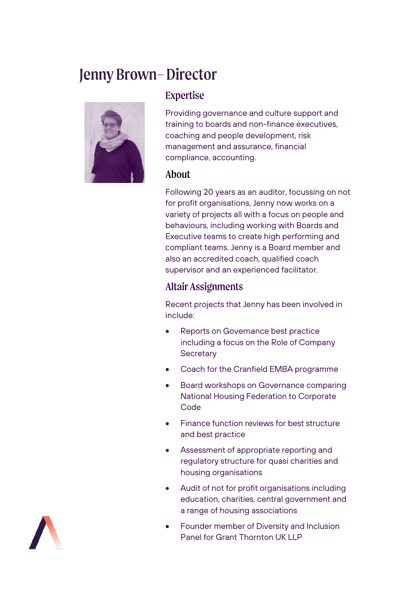# Jenny Brown–Director



## Expertise

Providing governance and culture support and training to boards and non-finance executives, coaching and people development, risk management and assurance, financial compliance, accounting.

#### About

Following 20 years as an auditor, focussing on not for profit organisations, Jenny now works on a variety of projects all with a focus on people and behaviours, including working with Boards and Executive teams to create high performing and compliant teams. Jenny is a Board member and also an accredited coach, qualified coach supervisor and an experienced facilitator.

## Altair Assignments

Recent projects that Jenny has been involved in include:

- Reports on Governance best practice including a focus on the Role of Company **Secretary**
- Coach for the Cranfield EMBA programme
- Board workshops on Governance comparing National Housing Federation to Corporate Code
- Finance function reviews for best structure and best practice
- Assessment of appropriate reporting and regulatory structure for quasi charities and housing organisations
- Audit of not for profit organisations including education, charities, central government and a range of housing associations
- Founder member of Diversity and Inclusion Panel for Grant Thornton UK LLP